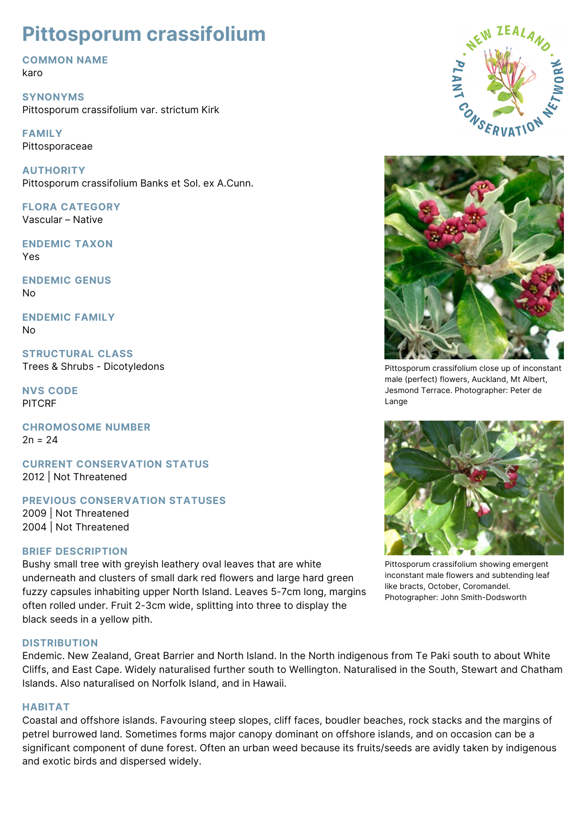# **Pittosporum crassifolium**

**COMMON NAME**

karo

**SYNONYMS** Pittosporum crassifolium var. strictum Kirk

**FAMILY** Pittosporaceae

**AUTHORITY** Pittosporum crassifolium Banks et Sol. ex A.Cunn.

**FLORA CATEGORY** Vascular – Native

**ENDEMIC TAXON** Yes

**ENDEMIC GENUS** No

**ENDEMIC FAMILY** No

**STRUCTURAL CLASS** Trees & Shrubs - Dicotyledons

**NVS CODE** PITCRF

**CHROMOSOME NUMBER**  $2n = 24$ 

**CURRENT CONSERVATION STATUS** 2012 | Not Threatened

**PREVIOUS CONSERVATION STATUSES**

2009 | Not Threatened 2004 | Not Threatened

# **BRIEF DESCRIPTION**

Bushy small tree with greyish leathery oval leaves that are white underneath and clusters of small dark red flowers and large hard green fuzzy capsules inhabiting upper North Island. Leaves 5-7cm long, margins often rolled under. Fruit 2-3cm wide, splitting into three to display the black seeds in a yellow pith.

## **DISTRIBUTION**

Endemic. New Zealand, Great Barrier and North Island. In the North indigenous from Te Paki south to about White Cliffs, and East Cape. Widely naturalised further south to Wellington. Naturalised in the South, Stewart and Chatham Islands. Also naturalised on Norfolk Island, and in Hawaii.

## **HABITAT**

Coastal and offshore islands. Favouring steep slopes, cliff faces, boudler beaches, rock stacks and the margins of petrel burrowed land. Sometimes forms major canopy dominant on offshore islands, and on occasion can be a significant component of dune forest. Often an urban weed because its fruits/seeds are avidly taken by indigenous and exotic birds and dispersed widely.





Pittosporum crassifolium close up of inconstant male (perfect) flowers, Auckland, Mt Albert, Jesmond Terrace. Photographer: Peter de Lange



Pittosporum crassifolium showing emergent inconstant male flowers and subtending leaf like bracts, October, Coromandel. Photographer: John Smith-Dodsworth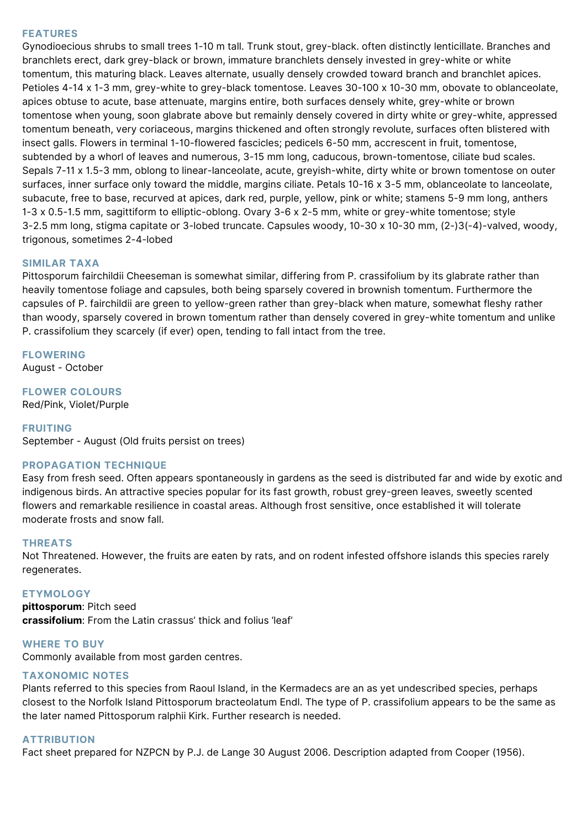## **FEATURES**

Gynodioecious shrubs to small trees 1-10 m tall. Trunk stout, grey-black. often distinctly lenticillate. Branches and branchlets erect, dark grey-black or brown, immature branchlets densely invested in grey-white or white tomentum, this maturing black. Leaves alternate, usually densely crowded toward branch and branchlet apices. Petioles 4-14 x 1-3 mm, grey-white to grey-black tomentose. Leaves 30-100 x 10-30 mm, obovate to oblanceolate, apices obtuse to acute, base attenuate, margins entire, both surfaces densely white, grey-white or brown tomentose when young, soon glabrate above but remainly densely covered in dirty white or grey-white, appressed tomentum beneath, very coriaceous, margins thickened and often strongly revolute, surfaces often blistered with insect galls. Flowers in terminal 1-10-flowered fascicles; pedicels 6-50 mm, accrescent in fruit, tomentose, subtended by a whorl of leaves and numerous, 3-15 mm long, caducous, brown-tomentose, ciliate bud scales. Sepals 7-11 x 1.5-3 mm, oblong to linear-lanceolate, acute, greyish-white, dirty white or brown tomentose on outer surfaces, inner surface only toward the middle, margins ciliate. Petals 10-16 x 3-5 mm, oblanceolate to lanceolate, subacute, free to base, recurved at apices, dark red, purple, yellow, pink or white; stamens 5-9 mm long, anthers 1-3 x 0.5-1.5 mm, sagittiform to elliptic-oblong. Ovary 3-6 x 2-5 mm, white or grey-white tomentose; style 3-2.5 mm long, stigma capitate or 3-lobed truncate. Capsules woody, 10-30 x 10-30 mm, (2-)3(-4)-valved, woody, trigonous, sometimes 2-4-lobed

#### **SIMILAR TAXA**

Pittosporum fairchildii Cheeseman is somewhat similar, differing from P. crassifolium by its glabrate rather than heavily tomentose foliage and capsules, both being sparsely covered in brownish tomentum. Furthermore the capsules of P. fairchildii are green to yellow-green rather than grey-black when mature, somewhat fleshy rather than woody, sparsely covered in brown tomentum rather than densely covered in grey-white tomentum and unlike P. crassifolium they scarcely (if ever) open, tending to fall intact from the tree.

## **FLOWERING**

August - October

#### **FLOWER COLOURS**

Red/Pink, Violet/Purple

#### **FRUITING**

September - August (Old fruits persist on trees)

## **PROPAGATION TECHNIQUE**

Easy from fresh seed. Often appears spontaneously in gardens as the seed is distributed far and wide by exotic and indigenous birds. An attractive species popular for its fast growth, robust grey-green leaves, sweetly scented flowers and remarkable resilience in coastal areas. Although frost sensitive, once established it will tolerate moderate frosts and snow fall.

#### **THREATS**

Not Threatened. However, the fruits are eaten by rats, and on rodent infested offshore islands this species rarely regenerates.

#### **ETYMOLOGY**

**pittosporum**: Pitch seed **crassifolium**: From the Latin crassus' thick and folius 'leaf'

**WHERE TO BUY** Commonly available from most garden centres.

## **TAXONOMIC NOTES**

Plants referred to this species from Raoul Island, in the Kermadecs are an as yet undescribed species, perhaps closest to the Norfolk Island Pittosporum bracteolatum Endl. The type of P. crassifolium appears to be the same as the later named Pittosporum ralphii Kirk. Further research is needed.

#### **ATTRIBUTION**

Fact sheet prepared for NZPCN by P.J. de Lange 30 August 2006. Description adapted from Cooper (1956).